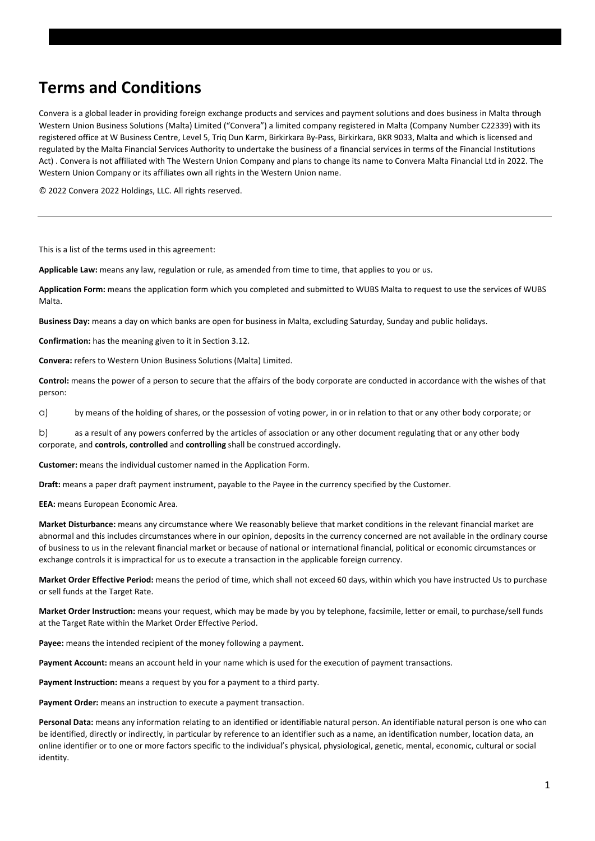# **Terms and Conditions**

Convera is a global leader in providing foreign exchange products and services and payment solutions and does business in Malta through Western Union Business Solutions (Malta) Limited ("Convera") a limited company registered in Malta (Company Number C22339) with its registered office at W Business Centre, Level 5, Triq Dun Karm, Birkirkara By-Pass, Birkirkara, BKR 9033, Malta and which is licensed and regulated by the Malta Financial Services Authority to undertake the business of a financial services in terms of the Financial Institutions Act) . Convera is not affiliated with The Western Union Company and plans to change its name to Convera Malta Financial Ltd in 2022. The Western Union Company or its affiliates own all rights in the Western Union name.

© 2022 Convera 2022 Holdings, LLC. All rights reserved.

This is a list of the terms used in this agreement:

**Applicable Law:** means any law, regulation or rule, as amended from time to time, that applies to you or us.

**Application Form:** means the application form which you completed and submitted to WUBS Malta to request to use the services of WUBS Malta.

**Business Day:** means a day on which banks are open for business in Malta, excluding Saturday, Sunday and public holidays.

**Confirmation:** has the meaning given to it in Section 3.12.

**Convera:** refers to Western Union Business Solutions (Malta) Limited.

**Control:** means the power of a person to secure that the affairs of the body corporate are conducted in accordance with the wishes of that person:

a) by means of the holding of shares, or the possession of voting power, in or in relation to that or any other body corporate; or

b) as a result of any powers conferred by the articles of association or any other document regulating that or any other body corporate, and **controls**, **controlled** and **controlling** shall be construed accordingly.

**Customer:** means the individual customer named in the Application Form.

**Draft:** means a paper draft payment instrument, payable to the Payee in the currency specified by the Customer.

**EEA:** means European Economic Area.

**Market Disturbance:** means any circumstance where We reasonably believe that market conditions in the relevant financial market are abnormal and this includes circumstances where in our opinion, deposits in the currency concerned are not available in the ordinary course of business to us in the relevant financial market or because of national or international financial, political or economic circumstances or exchange controls it is impractical for us to execute a transaction in the applicable foreign currency.

**Market Order Effective Period:** means the period of time, which shall not exceed 60 days, within which you have instructed Us to purchase or sell funds at the Target Rate.

**Market Order Instruction:** means your request, which may be made by you by telephone, facsimile, letter or email, to purchase/sell funds at the Target Rate within the Market Order Effective Period.

**Payee:** means the intended recipient of the money following a payment.

**Payment Account:** means an account held in your name which is used for the execution of payment transactions.

Payment Instruction: means a request by you for a payment to a third party.

**Payment Order:** means an instruction to execute a payment transaction.

**Personal Data:** means any information relating to an identified or identifiable natural person. An identifiable natural person is one who can be identified, directly or indirectly, in particular by reference to an identifier such as a name, an identification number, location data, an online identifier or to one or more factors specific to the individual's physical, physiological, genetic, mental, economic, cultural or social identity.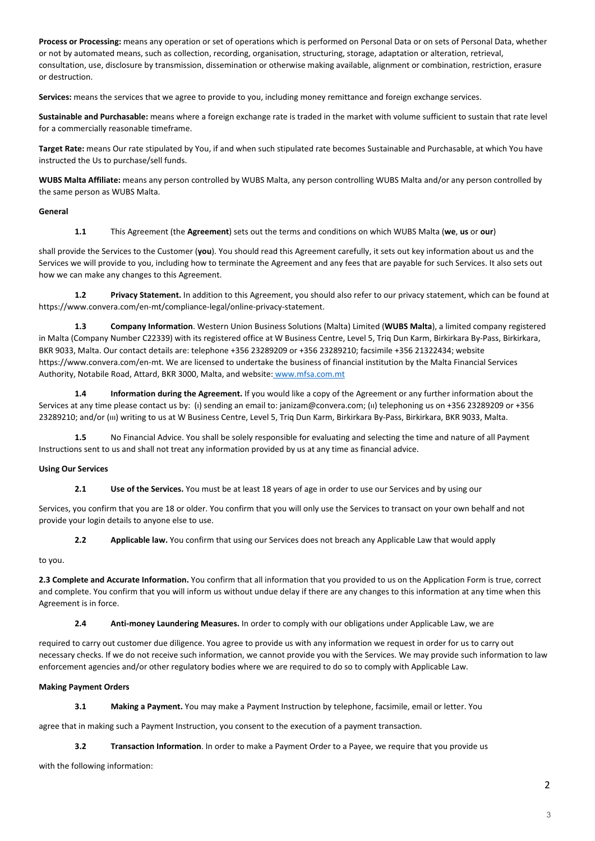**Process or Processing:** means any operation or set of operations which is performed on Personal Data or on sets of Personal Data, whether or not by automated means, such as collection, recording, organisation, structuring, storage, adaptation or alteration, retrieval, consultation, use, disclosure by transmission, dissemination or otherwise making available, alignment or combination, restriction, erasure or destruction.

**Services:** means the services that we agree to provide to you, including money remittance and foreign exchange services.

**Sustainable and Purchasable:** means where a foreign exchange rate is traded in the market with volume sufficient to sustain that rate level for a commercially reasonable timeframe.

**Target Rate:** means Our rate stipulated by You, if and when such stipulated rate becomes Sustainable and Purchasable, at which You have instructed the Us to purchase/sell funds.

**WUBS Malta Affiliate:** means any person controlled by WUBS Malta, any person controlling WUBS Malta and/or any person controlled by the same person as WUBS Malta.

#### **General**

 **1.1** This Agreement (the **Agreement**) sets out the terms and conditions on which WUBS Malta (**we**, **us** or **our**)

shall provide the Services to the Customer (**you**). You should read this Agreement carefully, it sets out key information about us and the Services we will provide to you, including how to terminate the Agreement and any fees that are payable for such Services. It also sets out how we can make any changes to this Agreement.

 **1.2 Privacy Statement.** In addition to this Agreement, you should also refer to our privacy statement, which can be found at https://www.convera.com/en-mt/compliance-legal/online-privacy-statement.

 **1.3 Company Information**. Western Union Business Solutions (Malta) Limited (**WUBS Malta**), a limited company registered in Malta (Company Number C22339) with its registered office at W Business Centre, Level 5, Triq Dun Karm, Birkirkara By-Pass, Birkirkara, BKR 9033, Malta. Our contact details are: telephone +356 23289209 or +356 23289210; facsimile +356 21322434; website https://www.convera.com/en-mt. We are licensed to undertake the business of financial institution by the Malta Financial Services Authority, Notabile Road, Attard, BKR 3000, Malta, and website: www.mfsa.com.mt

 **1.4 Information during the Agreement.** If you would like a copy of the Agreement or any further information about the Services at any time please contact us by: (ı) sending an email to: janizam@convera.com; (ıı) telephoning us on +356 23289209 or +356 23289210; and/or (ııı) writing to us at W Business Centre, Level 5, Triq Dun Karm, Birkirkara By-Pass, Birkirkara, BKR 9033, Malta.

 **1.5** No Financial Advice. You shall be solely responsible for evaluating and selecting the time and nature of all Payment Instructions sent to us and shall not treat any information provided by us at any time as financial advice.

#### **Using Our Services**

 **2.1 Use of the Services.** You must be at least 18 years of age in order to use our Services and by using our

Services, you confirm that you are 18 or older. You confirm that you will only use the Services to transact on your own behalf and not provide your login details to anyone else to use.

 **2.2 Applicable law.** You confirm that using our Services does not breach any Applicable Law that would apply

## to you.

**2.3 Complete and Accurate Information.** You confirm that all information that you provided to us on the Application Form is true, correct and complete. You confirm that you will inform us without undue delay if there are any changes to this information at any time when this Agreement is in force.

 **2.4 Anti-money Laundering Measures.** In order to comply with our obligations under Applicable Law, we are

required to carry out customer due diligence. You agree to provide us with any information we request in order for us to carry out necessary checks. If we do not receive such information, we cannot provide you with the Services. We may provide such information to law enforcement agencies and/or other regulatory bodies where we are required to do so to comply with Applicable Law.

## **Making Payment Orders**

 **3.1 Making a Payment.** You may make a Payment Instruction by telephone, facsimile, email or letter. You

agree that in making such a Payment Instruction, you consent to the execution of a payment transaction.

**3.2** Transaction Information. In order to make a Payment Order to a Payee, we require that you provide us

with the following information: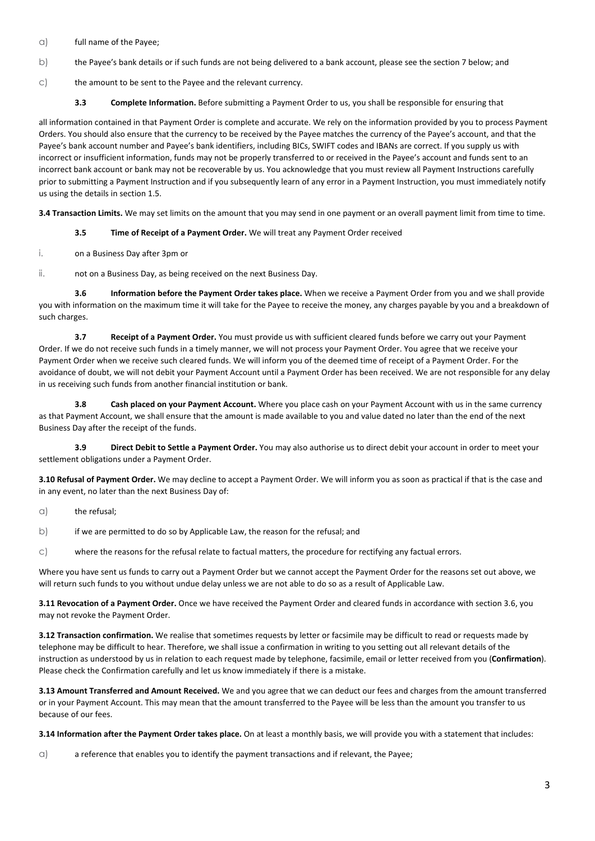- a) full name of the Payee;
- b) the Payee's bank details or if such funds are not being delivered to a bank account, please see the section 7 below; and
- c) the amount to be sent to the Payee and the relevant currency.
	- **3.3 Complete Information.** Before submitting a Payment Order to us, you shall be responsible for ensuring that

all information contained in that Payment Order is complete and accurate. We rely on the information provided by you to process Payment Orders. You should also ensure that the currency to be received by the Payee matches the currency of the Payee's account, and that the Payee's bank account number and Payee's bank identifiers, including BICs, SWIFT codes and IBANs are correct. If you supply us with incorrect or insufficient information, funds may not be properly transferred to or received in the Payee's account and funds sent to an incorrect bank account or bank may not be recoverable by us. You acknowledge that you must review all Payment Instructions carefully prior to submitting a Payment Instruction and if you subsequently learn of any error in a Payment Instruction, you must immediately notify us using the details in section 1.5.

**3.4 Transaction Limits.** We may set limits on the amount that you may send in one payment or an overall payment limit from time to time.

- **3.5 Time of Receipt of a Payment Order.** We will treat any Payment Order received
- i. on a Business Day after 3pm or

ii. not on a Business Day, as being received on the next Business Day.

 **3.6 Information before the Payment Order takes place.** When we receive a Payment Order from you and we shall provide you with information on the maximum time it will take for the Payee to receive the money, any charges payable by you and a breakdown of such charges.

 **3.7 Receipt of a Payment Order.** You must provide us with sufficient cleared funds before we carry out your Payment Order. If we do not receive such funds in a timely manner, we will not process your Payment Order. You agree that we receive your Payment Order when we receive such cleared funds. We will inform you of the deemed time of receipt of a Payment Order. For the avoidance of doubt, we will not debit your Payment Account until a Payment Order has been received. We are not responsible for any delay in us receiving such funds from another financial institution or bank.

 **3.8 Cash placed on your Payment Account.** Where you place cash on your Payment Account with us in the same currency as that Payment Account, we shall ensure that the amount is made available to you and value dated no later than the end of the next Business Day after the receipt of the funds.

 **3.9 Direct Debit to Settle a Payment Order.** You may also authorise us to direct debit your account in order to meet your settlement obligations under a Payment Order.

**3.10 Refusal of Payment Order.** We may decline to accept a Payment Order. We will inform you as soon as practical if that is the case and in any event, no later than the next Business Day of:

- $\alpha$ ) the refusal;
- b) if we are permitted to do so by Applicable Law, the reason for the refusal; and
- c) where the reasons for the refusal relate to factual matters, the procedure for rectifying any factual errors.

Where you have sent us funds to carry out a Payment Order but we cannot accept the Payment Order for the reasons set out above, we will return such funds to you without undue delay unless we are not able to do so as a result of Applicable Law.

**3.11 Revocation of a Payment Order.** Once we have received the Payment Order and cleared funds in accordance with section 3.6, you may not revoke the Payment Order.

**3.12 Transaction confirmation.** We realise that sometimes requests by letter or facsimile may be difficult to read or requests made by telephone may be difficult to hear. Therefore, we shall issue a confirmation in writing to you setting out all relevant details of the instruction as understood by us in relation to each request made by telephone, facsimile, email or letter received from you (**Confirmation**). Please check the Confirmation carefully and let us know immediately if there is a mistake.

**3.13 Amount Transferred and Amount Received.** We and you agree that we can deduct our fees and charges from the amount transferred or in your Payment Account. This may mean that the amount transferred to the Payee will be less than the amount you transfer to us because of our fees.

**3.14 Information after the Payment Order takes place.** On at least a monthly basis, we will provide you with a statement that includes:

 $\alpha$ ) a reference that enables you to identify the payment transactions and if relevant, the Payee;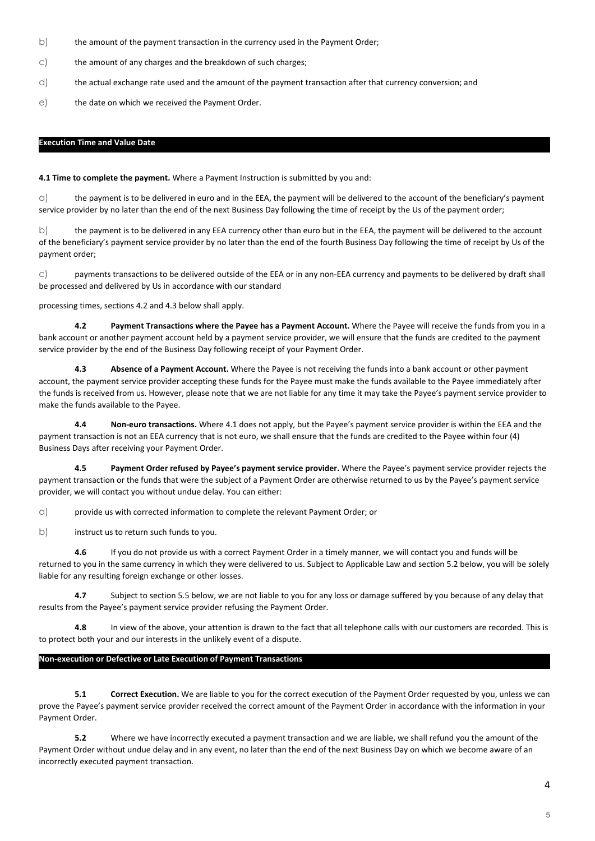- b) the amount of the payment transaction in the currency used in the Payment Order;
- c) the amount of any charges and the breakdown of such charges;
- d) the actual exchange rate used and the amount of the payment transaction after that currency conversion; and
- e) the date on which we received the Payment Order.

#### **Execution Time and Value Date**

**4.1 Time to complete the payment.** Where a Payment Instruction is submitted by you and:

 $\alpha$ ) the payment is to be delivered in euro and in the EEA, the payment will be delivered to the account of the beneficiary's payment service provider by no later than the end of the next Business Day following the time of receipt by the Us of the payment order;

b) the payment is to be delivered in any EEA currency other than euro but in the EEA, the payment will be delivered to the account of the beneficiary's payment service provider by no later than the end of the fourth Business Day following the time of receipt by Us of the payment order;

c) payments transactions to be delivered outside of the EEA or in any non-EEA currency and payments to be delivered by draft shall be processed and delivered by Us in accordance with our standard

processing times, sections 4.2 and 4.3 below shall apply.

 **4.2 Payment Transactions where the Payee has a Payment Account.** Where the Payee will receive the funds from you in a bank account or another payment account held by a payment service provider, we will ensure that the funds are credited to the payment service provider by the end of the Business Day following receipt of your Payment Order.

 **4.3 Absence of a Payment Account.** Where the Payee is not receiving the funds into a bank account or other payment account, the payment service provider accepting these funds for the Payee must make the funds available to the Payee immediately after the funds is received from us. However, please note that we are not liable for any time it may take the Payee's payment service provider to make the funds available to the Payee.

 **4.4 Non-euro transactions.** Where 4.1 does not apply, but the Payee's payment service provider is within the EEA and the payment transaction is not an EEA currency that is not euro, we shall ensure that the funds are credited to the Payee within four (4) Business Days after receiving your Payment Order.

Payment Order refused by Payee's payment service provider. Where the Payee's payment service provider rejects the payment transaction or the funds that were the subject of a Payment Order are otherwise returned to us by the Payee's payment service provider, we will contact you without undue delay. You can either:

a) provide us with corrected information to complete the relevant Payment Order; or

b) instruct us to return such funds to you.

 **4.6** If you do not provide us with a correct Payment Order in a timely manner, we will contact you and funds will be returned to you in the same currency in which they were delivered to us. Subject to Applicable Law and section 5.2 below, you will be solely liable for any resulting foreign exchange or other losses.

 **4.7** Subject to section 5.5 below, we are not liable to you for any loss or damage suffered by you because of any delay that results from the Payee's payment service provider refusing the Payment Order.

 **4.8** In view of the above, your attention is drawn to the fact that all telephone calls with our customers are recorded. This is to protect both your and our interests in the unlikely event of a dispute.

#### **Non-execution or Defective or Late Execution of Payment Transactions**

**5.1** Correct Execution. We are liable to you for the correct execution of the Payment Order requested by you, unless we can prove the Payee's payment service provider received the correct amount of the Payment Order in accordance with the information in your Payment Order.

 **5.2** Where we have incorrectly executed a payment transaction and we are liable, we shall refund you the amount of the Payment Order without undue delay and in any event, no later than the end of the next Business Day on which we become aware of an incorrectly executed payment transaction.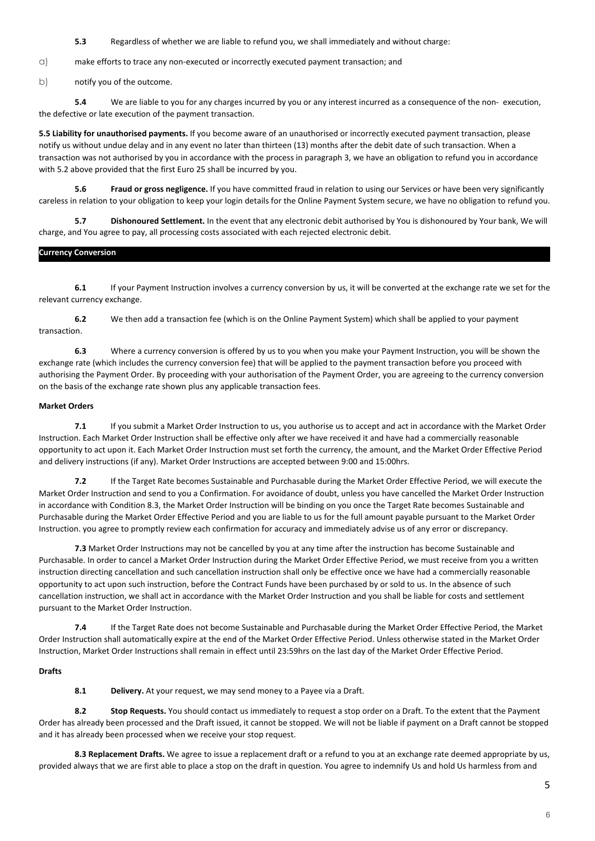**5.3** Regardless of whether we are liable to refund you, we shall immediately and without charge:

a) make efforts to trace any non-executed or incorrectly executed payment transaction; and

b) notify you of the outcome.

 **5.4** We are liable to you for any charges incurred by you or any interest incurred as a consequence of the non- execution, the defective or late execution of the payment transaction.

**5.5 Liability for unauthorised payments.** If you become aware of an unauthorised or incorrectly executed payment transaction, please notify us without undue delay and in any event no later than thirteen (13) months after the debit date of such transaction. When a transaction was not authorised by you in accordance with the process in paragraph 3, we have an obligation to refund you in accordance with 5.2 above provided that the first Euro 25 shall be incurred by you.

 **5.6 Fraud or gross negligence.** If you have committed fraud in relation to using our Services or have been very significantly careless in relation to your obligation to keep your login details for the Online Payment System secure, we have no obligation to refund you.

 **5.7 Dishonoured Settlement.** In the event that any electronic debit authorised by You is dishonoured by Your bank, We will charge, and You agree to pay, all processing costs associated with each rejected electronic debit.

### **Currency Conversion**

**6.1** If your Payment Instruction involves a currency conversion by us, it will be converted at the exchange rate we set for the relevant currency exchange.

 **6.2** We then add a transaction fee (which is on the Online Payment System) which shall be applied to your payment transaction.

 **6.3** Where a currency conversion is offered by us to you when you make your Payment Instruction, you will be shown the exchange rate (which includes the currency conversion fee) that will be applied to the payment transaction before you proceed with authorising the Payment Order. By proceeding with your authorisation of the Payment Order, you are agreeing to the currency conversion on the basis of the exchange rate shown plus any applicable transaction fees.

### **Market Orders**

**7.1** If you submit a Market Order Instruction to us, you authorise us to accept and act in accordance with the Market Order Instruction. Each Market Order Instruction shall be effective only after we have received it and have had a commercially reasonable opportunity to act upon it. Each Market Order Instruction must set forth the currency, the amount, and the Market Order Effective Period and delivery instructions (if any). Market Order Instructions are accepted between 9:00 and 15:00hrs.

 **7.2** If the Target Rate becomes Sustainable and Purchasable during the Market Order Effective Period, we will execute the Market Order Instruction and send to you a Confirmation. For avoidance of doubt, unless you have cancelled the Market Order Instruction in accordance with Condition 8.3, the Market Order Instruction will be binding on you once the Target Rate becomes Sustainable and Purchasable during the Market Order Effective Period and you are liable to us for the full amount payable pursuant to the Market Order Instruction. you agree to promptly review each confirmation for accuracy and immediately advise us of any error or discrepancy.

**7.3** Market Order Instructions may not be cancelled by you at any time after the instruction has become Sustainable and Purchasable. In order to cancel a Market Order Instruction during the Market Order Effective Period, we must receive from you a written instruction directing cancellation and such cancellation instruction shall only be effective once we have had a commercially reasonable opportunity to act upon such instruction, before the Contract Funds have been purchased by or sold to us. In the absence of such cancellation instruction, we shall act in accordance with the Market Order Instruction and you shall be liable for costs and settlement pursuant to the Market Order Instruction.

 **7.4** If the Target Rate does not become Sustainable and Purchasable during the Market Order Effective Period, the Market Order Instruction shall automatically expire at the end of the Market Order Effective Period. Unless otherwise stated in the Market Order Instruction, Market Order Instructions shall remain in effect until 23:59hrs on the last day of the Market Order Effective Period.

## **Drafts**

 **8.1 Delivery.** At your request, we may send money to a Payee via a Draft.

 **8.2 Stop Requests.** You should contact us immediately to request a stop order on a Draft. To the extent that the Payment Order has already been processed and the Draft issued, it cannot be stopped. We will not be liable if payment on a Draft cannot be stopped and it has already been processed when we receive your stop request.

**8.3 Replacement Drafts.** We agree to issue a replacement draft or a refund to you at an exchange rate deemed appropriate by us, provided always that we are first able to place a stop on the draft in question. You agree to indemnify Us and hold Us harmless from and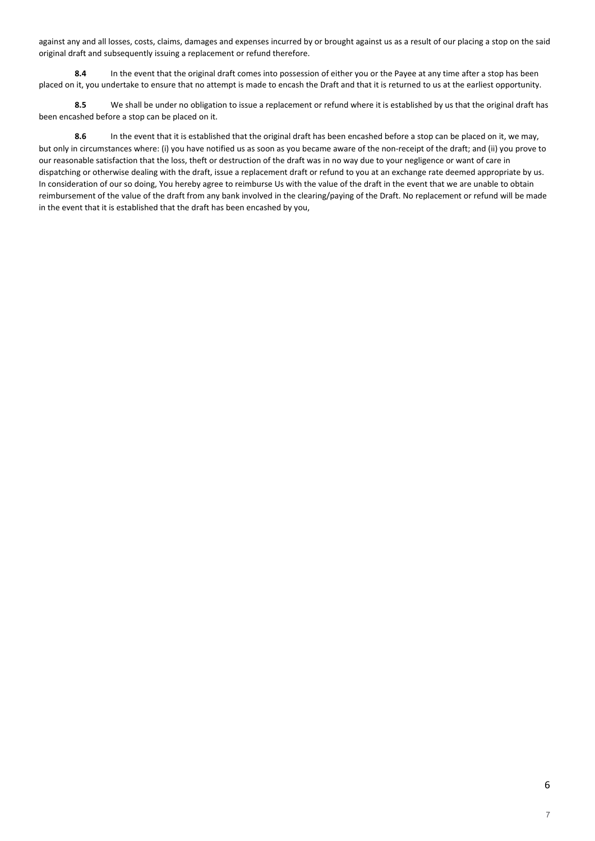against any and all losses, costs, claims, damages and expenses incurred by or brought against us as a result of our placing a stop on the said original draft and subsequently issuing a replacement or refund therefore.

 **8.4** In the event that the original draft comes into possession of either you or the Payee at any time after a stop has been placed on it, you undertake to ensure that no attempt is made to encash the Draft and that it is returned to us at the earliest opportunity.

 **8.5** We shall be under no obligation to issue a replacement or refund where it is established by us that the original draft has been encashed before a stop can be placed on it.

 **8.6** In the event that it is established that the original draft has been encashed before a stop can be placed on it, we may, but only in circumstances where: (i) you have notified us as soon as you became aware of the non-receipt of the draft; and (ii) you prove to our reasonable satisfaction that the loss, theft or destruction of the draft was in no way due to your negligence or want of care in dispatching or otherwise dealing with the draft, issue a replacement draft or refund to you at an exchange rate deemed appropriate by us. In consideration of our so doing, You hereby agree to reimburse Us with the value of the draft in the event that we are unable to obtain reimbursement of the value of the draft from any bank involved in the clearing/paying of the Draft. No replacement or refund will be made in the event that it is established that the draft has been encashed by you,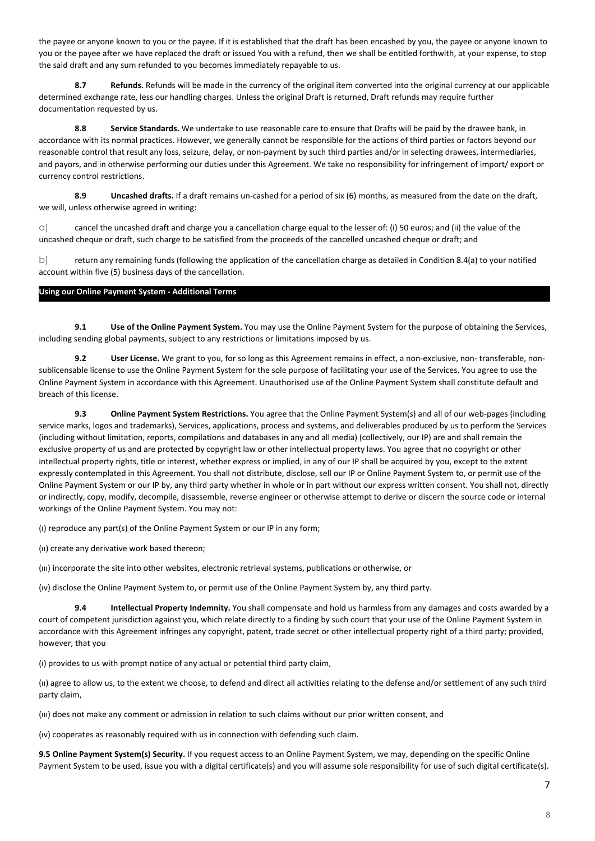the payee or anyone known to you or the payee. If it is established that the draft has been encashed by you, the payee or anyone known to you or the payee after we have replaced the draft or issued You with a refund, then we shall be entitled forthwith, at your expense, to stop the said draft and any sum refunded to you becomes immediately repayable to us.

 **8.7 Refunds.** Refunds will be made in the currency of the original item converted into the original currency at our applicable determined exchange rate, less our handling charges. Unless the original Draft is returned, Draft refunds may require further documentation requested by us.

8.8 Service Standards. We undertake to use reasonable care to ensure that Drafts will be paid by the drawee bank, in accordance with its normal practices. However, we generally cannot be responsible for the actions of third parties or factors beyond our reasonable control that result any loss, seizure, delay, or non-payment by such third parties and/or in selecting drawees, intermediaries, and payors, and in otherwise performing our duties under this Agreement. We take no responsibility for infringement of import/ export or currency control restrictions.

**8.9 Uncashed drafts.** If a draft remains un-cashed for a period of six (6) months, as measured from the date on the draft, we will, unless otherwise agreed in writing:

 $\alpha$ ) cancel the uncashed draft and charge you a cancellation charge equal to the lesser of: (i) 50 euros; and (ii) the value of the uncashed cheque or draft, such charge to be satisfied from the proceeds of the cancelled uncashed cheque or draft; and

b) return any remaining funds (following the application of the cancellation charge as detailed in Condition 8.4(a) to your notified account within five (5) business days of the cancellation.

### **Using our Online Payment System - Additional Terms**

 **9.1 Use of the Online Payment System.** You may use the Online Payment System for the purpose of obtaining the Services, including sending global payments, subject to any restrictions or limitations imposed by us.

 **9.2 User License.** We grant to you, for so long as this Agreement remains in effect, a non-exclusive, non- transferable, nonsublicensable license to use the Online Payment System for the sole purpose of facilitating your use of the Services. You agree to use the Online Payment System in accordance with this Agreement. Unauthorised use of the Online Payment System shall constitute default and breach of this license.

 **9.3 Online Payment System Restrictions.** You agree that the Online Payment System(s) and all of our web-pages (including service marks, logos and trademarks), Services, applications, process and systems, and deliverables produced by us to perform the Services (including without limitation, reports, compilations and databases in any and all media) (collectively, our IP) are and shall remain the exclusive property of us and are protected by copyright law or other intellectual property laws. You agree that no copyright or other intellectual property rights, title or interest, whether express or implied, in any of our IP shall be acquired by you, except to the extent expressly contemplated in this Agreement. You shall not distribute, disclose, sell our IP or Online Payment System to, or permit use of the Online Payment System or our IP by, any third party whether in whole or in part without our express written consent. You shall not, directly or indirectly, copy, modify, decompile, disassemble, reverse engineer or otherwise attempt to derive or discern the source code or internal workings of the Online Payment System. You may not:

(ı) reproduce any part(s) of the Online Payment System or our IP in any form;

(ıı) create any derivative work based thereon;

(ııı) incorporate the site into other websites, electronic retrieval systems, publications or otherwise, or

(ıv) disclose the Online Payment System to, or permit use of the Online Payment System by, any third party.

 **9.4 Intellectual Property Indemnity.** You shall compensate and hold us harmless from any damages and costs awarded by a court of competent jurisdiction against you, which relate directly to a finding by such court that your use of the Online Payment System in accordance with this Agreement infringes any copyright, patent, trade secret or other intellectual property right of a third party; provided, however, that you

(ı) provides to us with prompt notice of any actual or potential third party claim,

(ıı) agree to allow us, to the extent we choose, to defend and direct all activities relating to the defense and/or settlement of any such third party claim,

(ııı) does not make any comment or admission in relation to such claims without our prior written consent, and

(ıv) cooperates as reasonably required with us in connection with defending such claim.

**9.5 Online Payment System(s) Security.** If you request access to an Online Payment System, we may, depending on the specific Online Payment System to be used, issue you with a digital certificate(s) and you will assume sole responsibility for use of such digital certificate(s).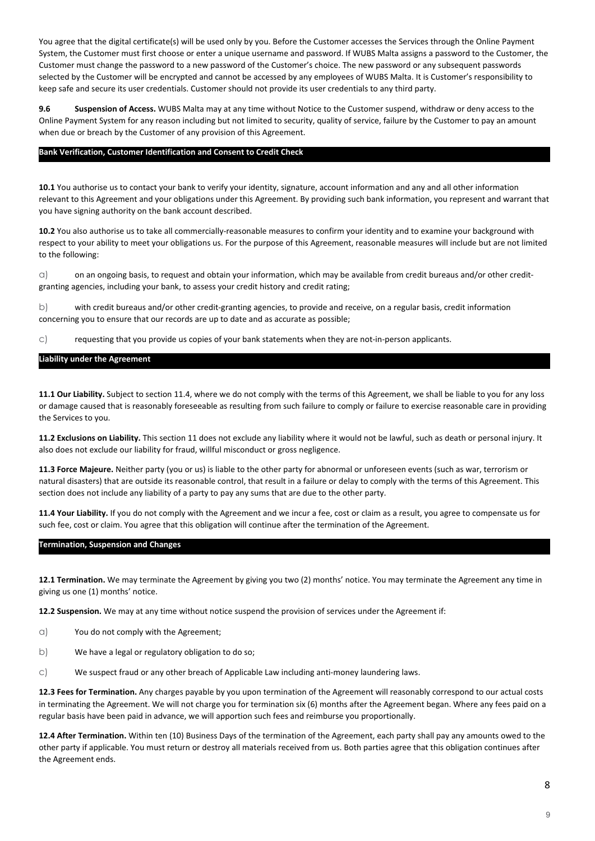You agree that the digital certificate(s) will be used only by you. Before the Customer accesses the Services through the Online Payment System, the Customer must first choose or enter a unique username and password. If WUBS Malta assigns a password to the Customer, the Customer must change the password to a new password of the Customer's choice. The new password or any subsequent passwords selected by the Customer will be encrypted and cannot be accessed by any employees of WUBS Malta. It is Customer's responsibility to keep safe and secure its user credentials. Customer should not provide its user credentials to any third party.

**9.6 Suspension of Access.** WUBS Malta may at any time without Notice to the Customer suspend, withdraw or deny access to the Online Payment System for any reason including but not limited to security, quality of service, failure by the Customer to pay an amount when due or breach by the Customer of any provision of this Agreement.

#### **Bank Verification, Customer Identification and Consent to Credit Check**

**10.1** You authorise us to contact your bank to verify your identity, signature, account information and any and all other information relevant to this Agreement and your obligations under this Agreement. By providing such bank information, you represent and warrant that you have signing authority on the bank account described.

**10.2** You also authorise us to take all commercially-reasonable measures to confirm your identity and to examine your background with respect to your ability to meet your obligations us. For the purpose of this Agreement, reasonable measures will include but are not limited to the following:

 $\alpha$ ) on an ongoing basis, to request and obtain your information, which may be available from credit bureaus and/or other creditgranting agencies, including your bank, to assess your credit history and credit rating;

b) with credit bureaus and/or other credit-granting agencies, to provide and receive, on a regular basis, credit information concerning you to ensure that our records are up to date and as accurate as possible;

c) requesting that you provide us copies of your bank statements when they are not-in-person applicants.

#### **Liability under the Agreement**

**11.1 Our Liability.** Subject to section 11.4, where we do not comply with the terms of this Agreement, we shall be liable to you for any loss or damage caused that is reasonably foreseeable as resulting from such failure to comply or failure to exercise reasonable care in providing the Services to you.

**11.2 Exclusions on Liability.** This section 11 does not exclude any liability where it would not be lawful, such as death or personal injury. It also does not exclude our liability for fraud, willful misconduct or gross negligence.

**11.3 Force Majeure.** Neither party (you or us) is liable to the other party for abnormal or unforeseen events (such as war, terrorism or natural disasters) that are outside its reasonable control, that result in a failure or delay to comply with the terms of this Agreement. This section does not include any liability of a party to pay any sums that are due to the other party.

**11.4 Your Liability.** If you do not comply with the Agreement and we incur a fee, cost or claim as a result, you agree to compensate us for such fee, cost or claim. You agree that this obligation will continue after the termination of the Agreement.

#### **Termination, Suspension and Changes**

**12.1 Termination.** We may terminate the Agreement by giving you two (2) months' notice. You may terminate the Agreement any time in giving us one (1) months' notice.

**12.2 Suspension.** We may at any time without notice suspend the provision of services under the Agreement if:

- a) You do not comply with the Agreement;
- b) We have a legal or regulatory obligation to do so;
- c) We suspect fraud or any other breach of Applicable Law including anti-money laundering laws.

**12.3 Fees for Termination.** Any charges payable by you upon termination of the Agreement will reasonably correspond to our actual costs in terminating the Agreement. We will not charge you for termination six (6) months after the Agreement began. Where any fees paid on a regular basis have been paid in advance, we will apportion such fees and reimburse you proportionally.

**12.4 After Termination.** Within ten (10) Business Days of the termination of the Agreement, each party shall pay any amounts owed to the other party if applicable. You must return or destroy all materials received from us. Both parties agree that this obligation continues after the Agreement ends.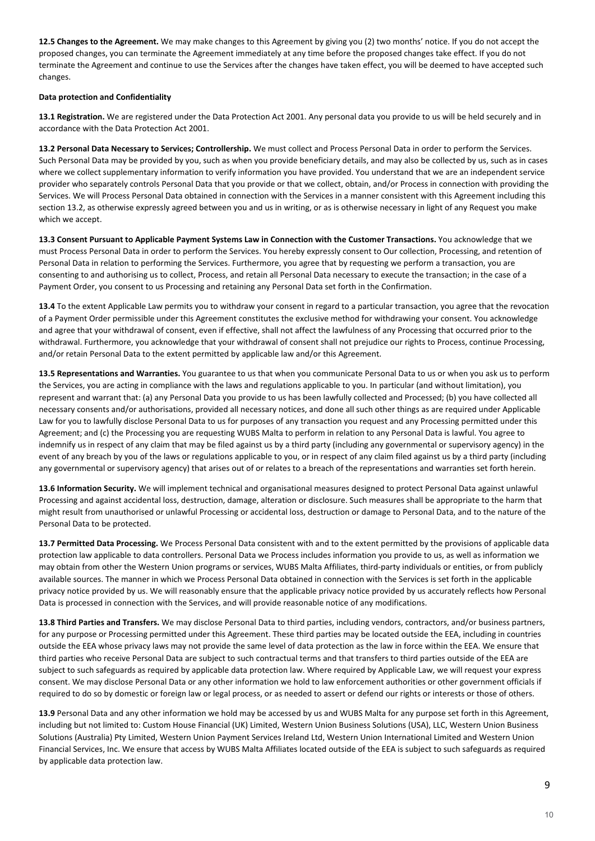**12.5 Changes to the Agreement.** We may make changes to this Agreement by giving you (2) two months' notice. If you do not accept the proposed changes, you can terminate the Agreement immediately at any time before the proposed changes take effect. If you do not terminate the Agreement and continue to use the Services after the changes have taken effect, you will be deemed to have accepted such changes.

#### **Data protection and Confidentiality**

**13.1 Registration.** We are registered under the Data Protection Act 2001. Any personal data you provide to us will be held securely and in accordance with the Data Protection Act 2001.

**13.2 Personal Data Necessary to Services; Controllership.** We must collect and Process Personal Data in order to perform the Services. Such Personal Data may be provided by you, such as when you provide beneficiary details, and may also be collected by us, such as in cases where we collect supplementary information to verify information you have provided. You understand that we are an independent service provider who separately controls Personal Data that you provide or that we collect, obtain, and/or Process in connection with providing the Services. We will Process Personal Data obtained in connection with the Services in a manner consistent with this Agreement including this section 13.2, as otherwise expressly agreed between you and us in writing, or as is otherwise necessary in light of any Request you make which we accept.

**13.3 Consent Pursuant to Applicable Payment Systems Law in Connection with the Customer Transactions.** You acknowledge that we must Process Personal Data in order to perform the Services. You hereby expressly consent to Our collection, Processing, and retention of Personal Data in relation to performing the Services. Furthermore, you agree that by requesting we perform a transaction, you are consenting to and authorising us to collect, Process, and retain all Personal Data necessary to execute the transaction; in the case of a Payment Order, you consent to us Processing and retaining any Personal Data set forth in the Confirmation.

**13.4** To the extent Applicable Law permits you to withdraw your consent in regard to a particular transaction, you agree that the revocation of a Payment Order permissible under this Agreement constitutes the exclusive method for withdrawing your consent. You acknowledge and agree that your withdrawal of consent, even if effective, shall not affect the lawfulness of any Processing that occurred prior to the withdrawal. Furthermore, you acknowledge that your withdrawal of consent shall not prejudice our rights to Process, continue Processing, and/or retain Personal Data to the extent permitted by applicable law and/or this Agreement.

**13.5 Representations and Warranties.** You guarantee to us that when you communicate Personal Data to us or when you ask us to perform the Services, you are acting in compliance with the laws and regulations applicable to you. In particular (and without limitation), you represent and warrant that: (a) any Personal Data you provide to us has been lawfully collected and Processed; (b) you have collected all necessary consents and/or authorisations, provided all necessary notices, and done all such other things as are required under Applicable Law for you to lawfully disclose Personal Data to us for purposes of any transaction you request and any Processing permitted under this Agreement; and (c) the Processing you are requesting WUBS Malta to perform in relation to any Personal Data is lawful. You agree to indemnify us in respect of any claim that may be filed against us by a third party (including any governmental or supervisory agency) in the event of any breach by you of the laws or regulations applicable to you, or in respect of any claim filed against us by a third party (including any governmental or supervisory agency) that arises out of or relates to a breach of the representations and warranties set forth herein.

**13.6 Information Security.** We will implement technical and organisational measures designed to protect Personal Data against unlawful Processing and against accidental loss, destruction, damage, alteration or disclosure. Such measures shall be appropriate to the harm that might result from unauthorised or unlawful Processing or accidental loss, destruction or damage to Personal Data, and to the nature of the Personal Data to be protected.

**13.7 Permitted Data Processing.** We Process Personal Data consistent with and to the extent permitted by the provisions of applicable data protection law applicable to data controllers. Personal Data we Process includes information you provide to us, as well as information we may obtain from other the Western Union programs or services, WUBS Malta Affiliates, third-party individuals or entities, or from publicly available sources. The manner in which we Process Personal Data obtained in connection with the Services is set forth in the applicable privacy notice provided by us. We will reasonably ensure that the applicable privacy notice provided by us accurately reflects how Personal Data is processed in connection with the Services, and will provide reasonable notice of any modifications.

**13.8 Third Parties and Transfers.** We may disclose Personal Data to third parties, including vendors, contractors, and/or business partners, for any purpose or Processing permitted under this Agreement. These third parties may be located outside the EEA, including in countries outside the EEA whose privacy laws may not provide the same level of data protection as the law in force within the EEA. We ensure that third parties who receive Personal Data are subject to such contractual terms and that transfers to third parties outside of the EEA are subject to such safeguards as required by applicable data protection law. Where required by Applicable Law, we will request your express consent. We may disclose Personal Data or any other information we hold to law enforcement authorities or other government officials if required to do so by domestic or foreign law or legal process, or as needed to assert or defend our rights or interests or those of others.

**13.9** Personal Data and any other information we hold may be accessed by us and WUBS Malta for any purpose set forth in this Agreement, including but not limited to: Custom House Financial (UK) Limited, Western Union Business Solutions (USA), LLC, Western Union Business Solutions (Australia) Pty Limited, Western Union Payment Services Ireland Ltd, Western Union International Limited and Western Union Financial Services, Inc. We ensure that access by WUBS Malta Affiliates located outside of the EEA is subject to such safeguards as required by applicable data protection law.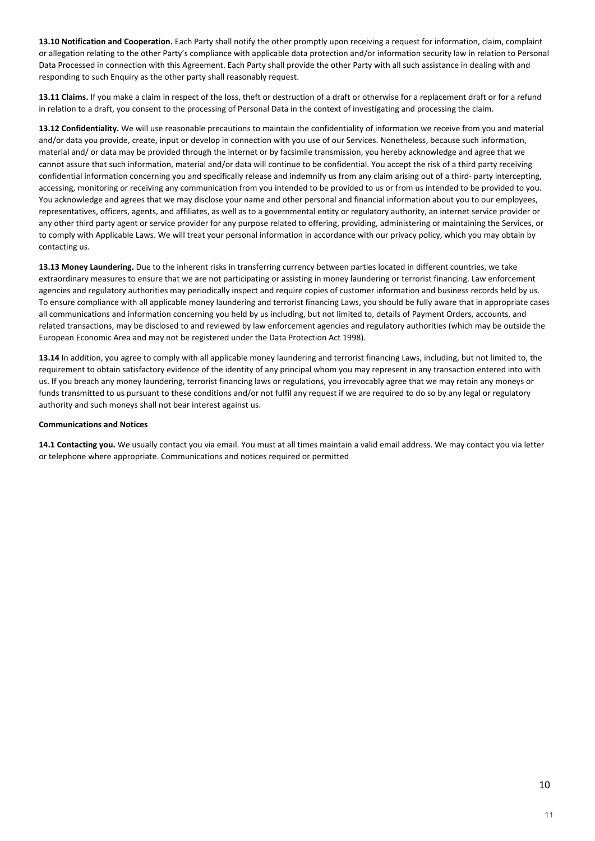**13.10 Notification and Cooperation.** Each Party shall notify the other promptly upon receiving a request for information, claim, complaint or allegation relating to the other Party's compliance with applicable data protection and/or information security law in relation to Personal Data Processed in connection with this Agreement. Each Party shall provide the other Party with all such assistance in dealing with and responding to such Enquiry as the other party shall reasonably request.

**13.11 Claims.** If you make a claim in respect of the loss, theft or destruction of a draft or otherwise for a replacement draft or for a refund in relation to a draft, you consent to the processing of Personal Data in the context of investigating and processing the claim.

**13.12 Confidentiality.** We will use reasonable precautions to maintain the confidentiality of information we receive from you and material and/or data you provide, create, input or develop in connection with you use of our Services. Nonetheless, because such information, material and/ or data may be provided through the internet or by facsimile transmission, you hereby acknowledge and agree that we cannot assure that such information, material and/or data will continue to be confidential. You accept the risk of a third party receiving confidential information concerning you and specifically release and indemnify us from any claim arising out of a third- party intercepting, accessing, monitoring or receiving any communication from you intended to be provided to us or from us intended to be provided to you. You acknowledge and agrees that we may disclose your name and other personal and financial information about you to our employees, representatives, officers, agents, and affiliates, as well as to a governmental entity or regulatory authority, an internet service provider or any other third party agent or service provider for any purpose related to offering, providing, administering or maintaining the Services, or to comply with Applicable Laws. We will treat your personal information in accordance with our privacy policy, which you may obtain by contacting us.

**13.13 Money Laundering.** Due to the inherent risks in transferring currency between parties located in different countries, we take extraordinary measures to ensure that we are not participating or assisting in money laundering or terrorist financing. Law enforcement agencies and regulatory authorities may periodically inspect and require copies of customer information and business records held by us. To ensure compliance with all applicable money laundering and terrorist financing Laws, you should be fully aware that in appropriate cases all communications and information concerning you held by us including, but not limited to, details of Payment Orders, accounts, and related transactions, may be disclosed to and reviewed by law enforcement agencies and regulatory authorities (which may be outside the European Economic Area and may not be registered under the Data Protection Act 1998).

**13.14** In addition, you agree to comply with all applicable money laundering and terrorist financing Laws, including, but not limited to, the requirement to obtain satisfactory evidence of the identity of any principal whom you may represent in any transaction entered into with us. If you breach any money laundering, terrorist financing laws or regulations, you irrevocably agree that we may retain any moneys or funds transmitted to us pursuant to these conditions and/or not fulfil any request if we are required to do so by any legal or regulatory authority and such moneys shall not bear interest against us.

#### **Communications and Notices**

**14.1 Contacting you.** We usually contact you via email. You must at all times maintain a valid email address. We may contact you via letter or telephone where appropriate. Communications and notices required or permitted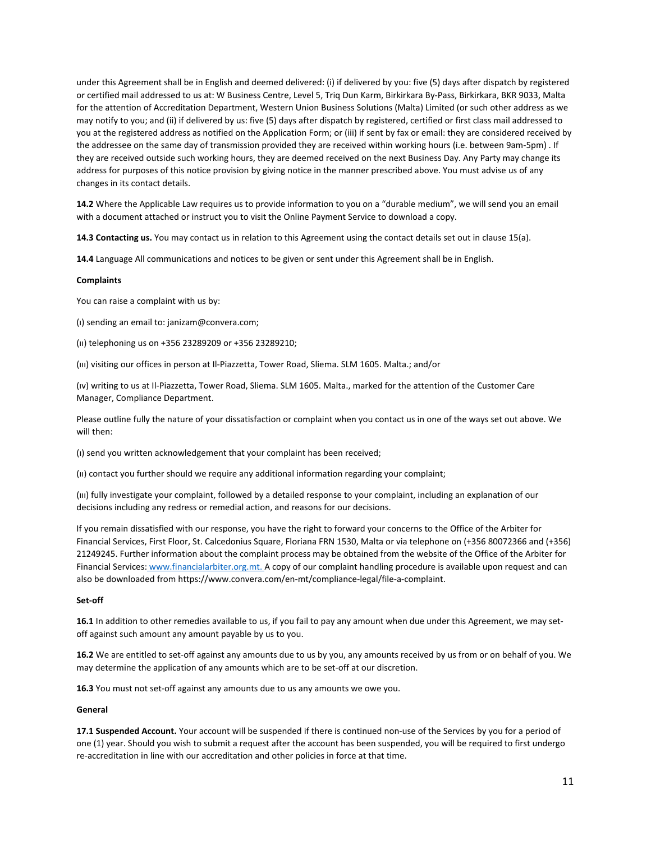under this Agreement shall be in English and deemed delivered: (i) if delivered by you: five (5) days after dispatch by registered or certified mail addressed to us at: W Business Centre, Level 5, Triq Dun Karm, Birkirkara By-Pass, Birkirkara, BKR 9033, Malta for the attention of Accreditation Department, Western Union Business Solutions (Malta) Limited (or such other address as we may notify to you; and (ii) if delivered by us: five (5) days after dispatch by registered, certified or first class mail addressed to you at the registered address as notified on the Application Form; or (iii) if sent by fax or email: they are considered received by the addressee on the same day of transmission provided they are received within working hours (i.e. between 9am-5pm) . If they are received outside such working hours, they are deemed received on the next Business Day. Any Party may change its address for purposes of this notice provision by giving notice in the manner prescribed above. You must advise us of any changes in its contact details.

**14.2** Where the Applicable Law requires us to provide information to you on a "durable medium", we will send you an email with a document attached or instruct you to visit the Online Payment Service to download a copy.

**14.3 Contacting us.** You may contact us in relation to this Agreement using the contact details set out in clause 15(a).

**14.4** Language All communications and notices to be given or sent under this Agreement shall be in English.

#### **Complaints**

You can raise a complaint with us by:

(ı) sending an email to: janizam@convera.com;

(ıı) telephoning us on +356 23289209 or +356 23289210;

(ııı) visiting our offices in person at Il-Piazzetta, Tower Road, Sliema. SLM 1605. Malta.; and/or

(ıv) writing to us at Il-Piazzetta, Tower Road, Sliema. SLM 1605. Malta., marked for the attention of the Customer Care Manager, Compliance Department.

Please outline fully the nature of your dissatisfaction or complaint when you contact us in one of the ways set out above. We will then:

(ı) send you written acknowledgement that your complaint has been received;

(ıı) contact you further should we require any additional information regarding your complaint;

(ııı) fully investigate your complaint, followed by a detailed response to your complaint, including an explanation of our decisions including any redress or remedial action, and reasons for our decisions.

If you remain dissatisfied with our response, you have the right to forward your concerns to the Office of the Arbiter for Financial Services, First Floor, St. Calcedonius Square, Floriana FRN 1530, Malta or via telephone on (+356 80072366 and (+356) 21249245. Further information about the complaint process may be obtained from the website of the Office of the Arbiter for Financial Services: [www.financialarbiter.org.mt.](http://www.financialarbiter.org.mt/) [A](http://www.financialarbiter.org.mt/) copy of our complaint handling procedure is available upon request and can also be downloaded from https://www.convera.com/en-mt/compliance-legal/file-a-complaint.

#### **Set-off**

**16.1** In addition to other remedies available to us, if you fail to pay any amount when due under this Agreement, we may setoff against such amount any amount payable by us to you.

**16.2** We are entitled to set-off against any amounts due to us by you, any amounts received by us from or on behalf of you. We may determine the application of any amounts which are to be set-off at our discretion.

**16.3** You must not set-off against any amounts due to us any amounts we owe you.

#### **General**

**17.1 Suspended Account.** Your account will be suspended if there is continued non-use of the Services by you for a period of one (1) year. Should you wish to submit a request after the account has been suspended, you will be required to first undergo re-accreditation in line with our accreditation and other policies in force at that time.